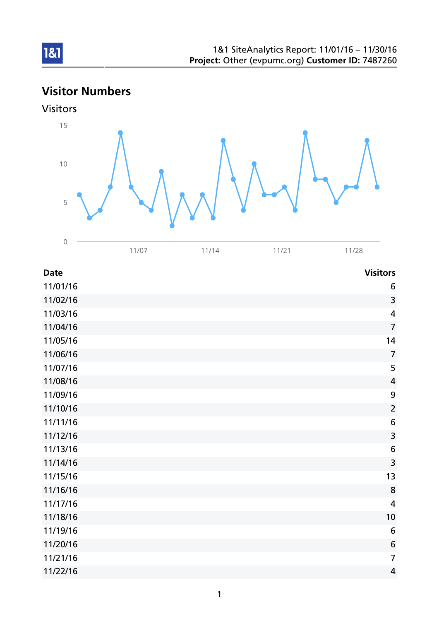# Visitor Numbers





| 11/01/16 | $\boldsymbol{6}$        |
|----------|-------------------------|
| 11/02/16 | 3                       |
| 11/03/16 | $\overline{\mathbf{4}}$ |
| 11/04/16 | $\overline{7}$          |
| 11/05/16 | 14                      |
| 11/06/16 | $\overline{7}$          |
| 11/07/16 | 5                       |
| 11/08/16 | $\overline{4}$          |
| 11/09/16 | $\boldsymbol{9}$        |
| 11/10/16 | $\overline{2}$          |
| 11/11/16 | $\boldsymbol{6}$        |
| 11/12/16 | $\overline{\mathbf{3}}$ |
| 11/13/16 | $\boldsymbol{6}$        |
| 11/14/16 | $\overline{\mathbf{3}}$ |
| 11/15/16 | 13                      |
| 11/16/16 | 8                       |
| 11/17/16 | $\overline{\mathbf{4}}$ |
| 11/18/16 | 10                      |
| 11/19/16 | $6\,$                   |
| 11/20/16 | $\sqrt{6}$              |
| 11/21/16 | $\overline{7}$          |
| 11/22/16 | 4                       |
|          |                         |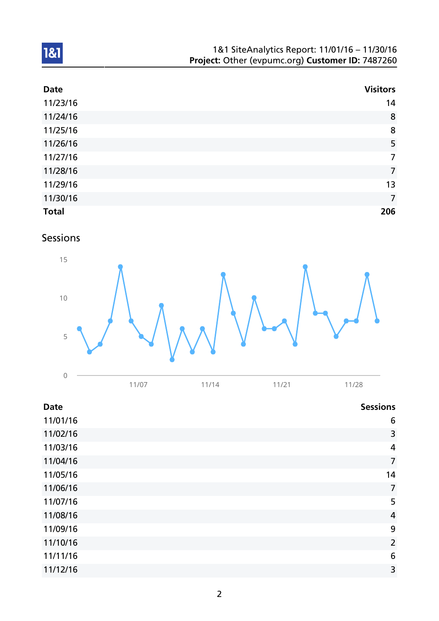| 1&1 SiteAnalytics Report: 11/01/16 - 11/30/16    |  |
|--------------------------------------------------|--|
| Project: Other (evpumc.org) Customer ID: 7487260 |  |

| <b>Date</b>  | <b>Visitors</b> |
|--------------|-----------------|
| 11/23/16     | 14              |
| 11/24/16     | 8               |
| 11/25/16     | 8               |
| 11/26/16     | 5               |
| 11/27/16     | $\overline{7}$  |
| 11/28/16     | $\overline{7}$  |
| 11/29/16     | 13              |
| 11/30/16     | $\overline{7}$  |
| <b>Total</b> | 206             |

Sessions



| $\cap$<br>◡ |                                       |                                |        |
|-------------|---------------------------------------|--------------------------------|--------|
|             | $\overline{1}$<br>$\overline{\Delta}$ | $\cdot$ $\cdot$ $\sim$ $\cdot$ | ب کے ب |

| <b>Date</b> | <b>Sessions</b> |
|-------------|-----------------|
| 11/01/16    | 6               |
| 11/02/16    | 3               |
| 11/03/16    | 4               |
| 11/04/16    | $\overline{7}$  |
| 11/05/16    | 14              |
| 11/06/16    | $\overline{7}$  |
| 11/07/16    | 5               |
| 11/08/16    | $\overline{a}$  |
| 11/09/16    | 9               |
| 11/10/16    | $\overline{2}$  |
| 11/11/16    | $6\phantom{1}6$ |
| 11/12/16    | 3               |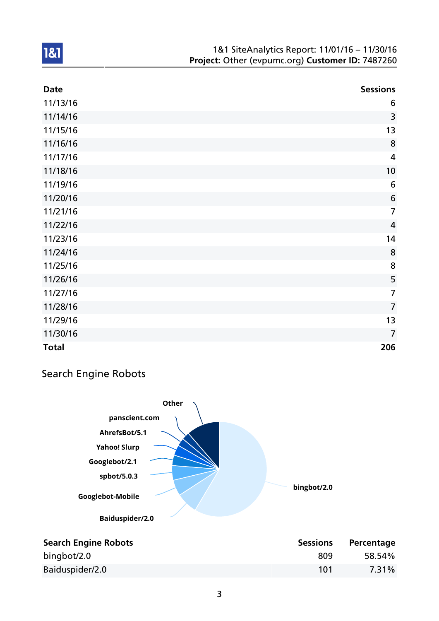#### 1&1 SiteAnalytics Report: 11/01/16 – 11/30/16 Project: Other (evpumc.org) Customer ID: 7487260

| <b>Date</b>  | <b>Sessions</b> |
|--------------|-----------------|
| 11/13/16     | 6               |
| 11/14/16     | 3               |
| 11/15/16     | 13              |
| 11/16/16     | 8               |
| 11/17/16     | $\overline{4}$  |
| 11/18/16     | 10              |
| 11/19/16     | $6\,$           |
| 11/20/16     | $\bf 6$         |
| 11/21/16     | $\overline{7}$  |
| 11/22/16     | $\overline{4}$  |
| 11/23/16     | 14              |
| 11/24/16     | 8               |
| 11/25/16     | 8               |
| 11/26/16     | 5               |
| 11/27/16     | $\overline{7}$  |
| 11/28/16     | $\overline{7}$  |
| 11/29/16     | 13              |
| 11/30/16     | $\overline{7}$  |
| <b>Total</b> | 206             |

## Search Engine Robots

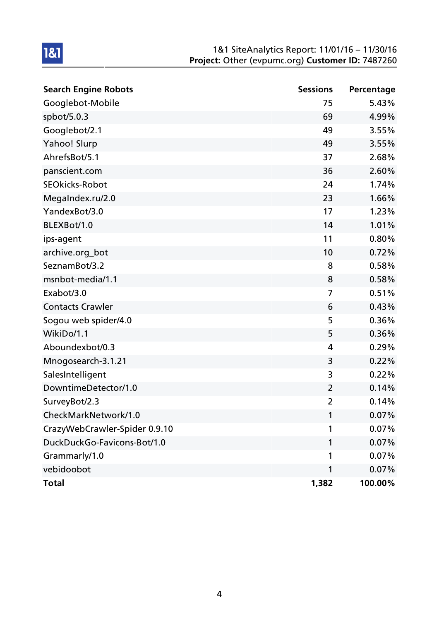#### 1&1 SiteAnalytics Report: 11/01/16 – 11/30/16 Project: Other (evpumc.org) Customer ID: 7487260

| <b>Search Engine Robots</b>   | <b>Sessions</b> | Percentage |
|-------------------------------|-----------------|------------|
| Googlebot-Mobile              | 75              | 5.43%      |
| spbot/5.0.3                   | 69              | 4.99%      |
| Googlebot/2.1                 | 49              | 3.55%      |
| Yahoo! Slurp                  | 49              | 3.55%      |
| AhrefsBot/5.1                 | 37              | 2.68%      |
| panscient.com                 | 36              | 2.60%      |
| <b>SEOkicks-Robot</b>         | 24              | 1.74%      |
| MegaIndex.ru/2.0              | 23              | 1.66%      |
| YandexBot/3.0                 | 17              | 1.23%      |
| BLEXBot/1.0                   | 14              | 1.01%      |
| ips-agent                     | 11              | 0.80%      |
| archive.org_bot               | 10              | 0.72%      |
| SeznamBot/3.2                 | 8               | 0.58%      |
| msnbot-media/1.1              | 8               | 0.58%      |
| Exabot/3.0                    | 7               | 0.51%      |
| <b>Contacts Crawler</b>       | 6               | 0.43%      |
| Sogou web spider/4.0          | 5               | 0.36%      |
| WikiDo/1.1                    | 5               | 0.36%      |
| Aboundexbot/0.3               | 4               | 0.29%      |
| Mnogosearch-3.1.21            | 3               | 0.22%      |
| SalesIntelligent              | 3               | 0.22%      |
| DowntimeDetector/1.0          | $\overline{2}$  | 0.14%      |
| SurveyBot/2.3                 | $\overline{2}$  | 0.14%      |
| CheckMarkNetwork/1.0          | 1               | 0.07%      |
| CrazyWebCrawler-Spider 0.9.10 | 1               | 0.07%      |
| DuckDuckGo-Favicons-Bot/1.0   | 1               | 0.07%      |
| Grammarly/1.0                 | 1               | $0.07\%$   |
| vebidoobot                    | 1               | 0.07%      |
| <b>Total</b>                  | 1,382           | 100.00%    |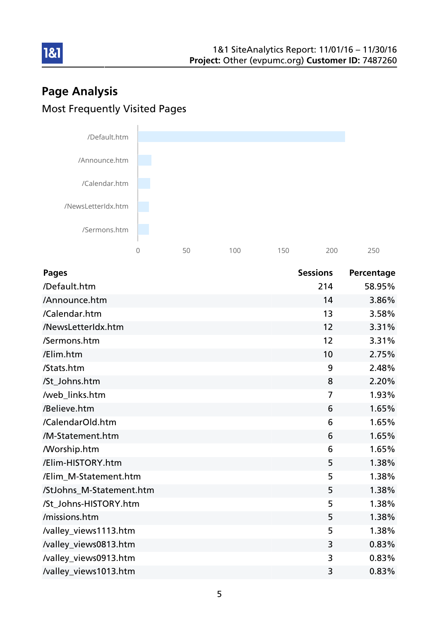# Page Analysis Most Frequently Visited Pages



| <b>Pages</b>             | <b>Sessions</b> | Percentage |
|--------------------------|-----------------|------------|
| /Default.htm             | 214             | 58.95%     |
| /Announce.htm            | 14              | 3.86%      |
| /Calendar.htm            | 13              | 3.58%      |
| /NewsLetterIdx.htm       | 12              | 3.31%      |
| /Sermons.htm             | 12              | 3.31%      |
| /Elim.htm                | 10              | 2.75%      |
| /Stats.htm               | 9               | 2.48%      |
| /St_Johns.htm            | 8               | 2.20%      |
| /web_links.htm           | $\overline{7}$  | 1.93%      |
| /Believe.htm             | 6               | 1.65%      |
| /CalendarOld.htm         | 6               | 1.65%      |
| /M-Statement.htm         | 6               | 1.65%      |
| <b>Morship.htm</b>       | 6               | 1.65%      |
| /Elim-HISTORY.htm        | 5               | 1.38%      |
| /Elim_M-Statement.htm    | 5               | 1.38%      |
| /StJohns_M-Statement.htm | 5               | 1.38%      |
| /St_Johns-HISTORY.htm    | 5               | 1.38%      |
| /missions.htm            | 5               | 1.38%      |
| /valley_views1113.htm    | 5               | 1.38%      |
| /valley_views0813.htm    | 3               | 0.83%      |
| /valley_views0913.htm    | 3               | 0.83%      |
| /valley_views1013.htm    | 3               | 0.83%      |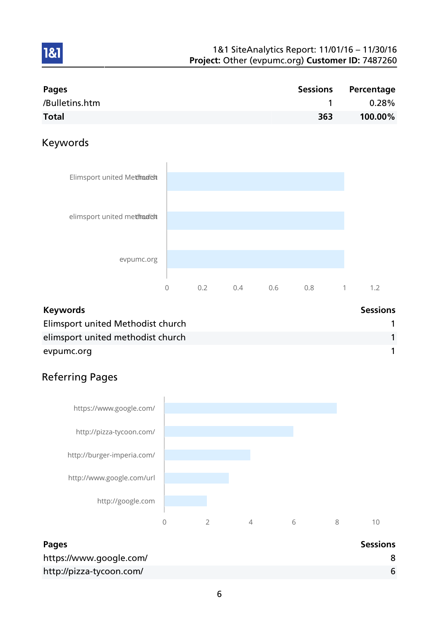| Pages          |     | Sessions Percentage |
|----------------|-----|---------------------|
| /Bulletins.htm |     | $0.28\%$            |
| <b>Total</b>   | 363 | 100.00%             |

## Keywords

1&1



| <b>Keywords</b>                   | <b>Sessions</b> |
|-----------------------------------|-----------------|
| Elimsport united Methodist church |                 |
| elimsport united methodist church |                 |
| evpumc.org                        |                 |

## Referring Pages



| <b>Pages</b>             | <b>Sessions</b> |
|--------------------------|-----------------|
| https://www.google.com/  |                 |
| http://pizza-tycoon.com/ |                 |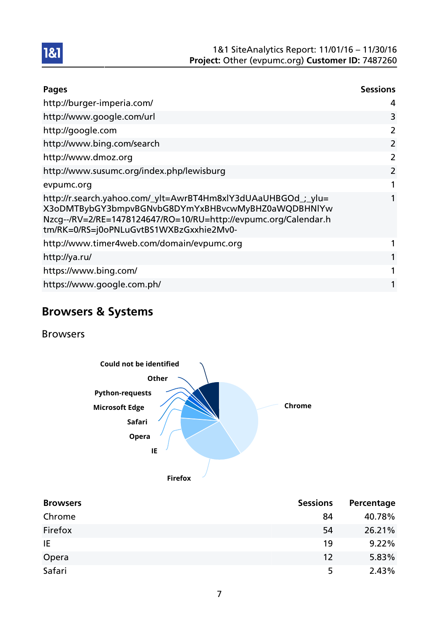

| <b>Pages</b>                                                                                                                                                                                                                      | <b>Sessions</b> |
|-----------------------------------------------------------------------------------------------------------------------------------------------------------------------------------------------------------------------------------|-----------------|
| http://burger-imperia.com/                                                                                                                                                                                                        | 4               |
| http://www.google.com/url                                                                                                                                                                                                         | 3               |
| http://google.com                                                                                                                                                                                                                 | 2               |
| http://www.bing.com/search                                                                                                                                                                                                        | 2               |
| http://www.dmoz.org                                                                                                                                                                                                               | 2               |
| http://www.susumc.org/index.php/lewisburg                                                                                                                                                                                         | 2               |
| evpumc.org                                                                                                                                                                                                                        |                 |
| http://r.search.yahoo.com/_ylt=AwrBT4Hm8xlY3dUAaUHBGOd_;_ylu=<br>X3oDMTBybGY3bmpvBGNvbG8DYmYxBHBvcwMyBHZ0aWQDBHNIYw<br>Nzcg--/RV=2/RE=1478124647/RO=10/RU=http://evpumc.org/Calendar.h<br>tm/RK=0/RS=j0oPNLuGvtBS1WXBzGxxhie2Mv0- | 1               |
| http://www.timer4web.com/domain/evpumc.org                                                                                                                                                                                        |                 |
| http://ya.ru/                                                                                                                                                                                                                     |                 |
| https://www.bing.com/                                                                                                                                                                                                             | 1               |
| https://www.google.com.ph/                                                                                                                                                                                                        |                 |

## Browsers & Systems

Browsers



| <b>Browsers</b> | <b>Sessions</b> | Percentage |
|-----------------|-----------------|------------|
| Chrome          | 84              | 40.78%     |
| Firefox         | 54              | 26.21%     |
| IE              | 19              | 9.22%      |
| Opera           | 12              | 5.83%      |
| Safari          | 5               | 2.43%      |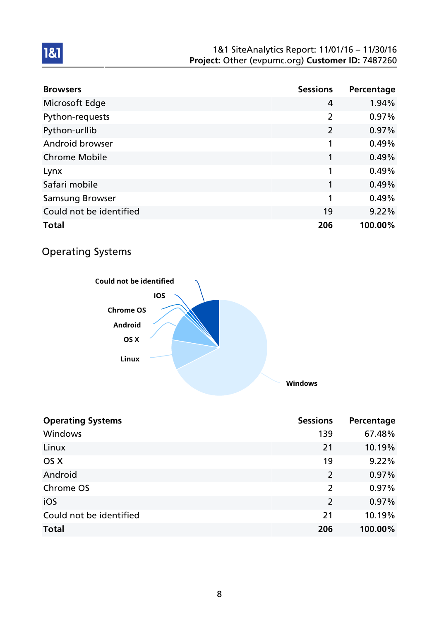#### 1&1 SiteAnalytics Report: 11/01/16 – 11/30/16 Project: Other (evpumc.org) Customer ID: 7487260

| <b>Browsers</b>         | <b>Sessions</b> | Percentage |
|-------------------------|-----------------|------------|
| Microsoft Edge          | $\overline{4}$  | 1.94%      |
| Python-requests         | $\overline{2}$  | 0.97%      |
| Python-urllib           | $\overline{2}$  | 0.97%      |
| Android browser         | 1               | 0.49%      |
| <b>Chrome Mobile</b>    | 1               | 0.49%      |
| Lynx                    | 1               | 0.49%      |
| Safari mobile           | 1               | 0.49%      |
| <b>Samsung Browser</b>  | 1               | 0.49%      |
| Could not be identified | 19              | 9.22%      |
| <b>Total</b>            | 206             | 100.00%    |

## Operating Systems



| <b>Operating Systems</b> | <b>Sessions</b> | Percentage |
|--------------------------|-----------------|------------|
| Windows                  | 139             | 67.48%     |
| Linux                    | 21              | 10.19%     |
| OS X                     | 19              | 9.22%      |
| Android                  | 2               | 0.97%      |
| Chrome OS                | $\overline{2}$  | 0.97%      |
| iOS                      | 2               | 0.97%      |
| Could not be identified  | 21              | 10.19%     |
| <b>Total</b>             | 206             | 100.00%    |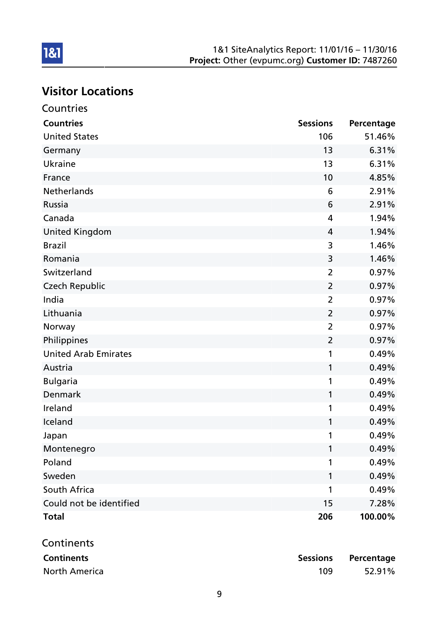# Visitor Locations

| Countries                   |                 |            |
|-----------------------------|-----------------|------------|
| <b>Countries</b>            | <b>Sessions</b> | Percentage |
| <b>United States</b>        | 106             | 51.46%     |
| Germany                     | 13              | 6.31%      |
| Ukraine                     | 13              | 6.31%      |
| France                      | 10              | 4.85%      |
| Netherlands                 | 6               | 2.91%      |
| <b>Russia</b>               | 6               | 2.91%      |
| Canada                      | 4               | 1.94%      |
| <b>United Kingdom</b>       | $\overline{4}$  | 1.94%      |
| <b>Brazil</b>               | 3               | 1.46%      |
| Romania                     | 3               | 1.46%      |
| Switzerland                 | $\overline{2}$  | 0.97%      |
| <b>Czech Republic</b>       | $\overline{2}$  | 0.97%      |
| India                       | $\overline{2}$  | 0.97%      |
| Lithuania                   | $\overline{2}$  | 0.97%      |
| Norway                      | $\overline{2}$  | 0.97%      |
| Philippines                 | $\overline{2}$  | 0.97%      |
| <b>United Arab Emirates</b> | 1               | 0.49%      |
| Austria                     | 1               | 0.49%      |
| <b>Bulgaria</b>             | 1               | 0.49%      |
| <b>Denmark</b>              | 1               | 0.49%      |
| Ireland                     | 1               | 0.49%      |
| Iceland                     | 1               | 0.49%      |
| Japan                       | 1               | 0.49%      |
| Montenegro                  | 1               | 0.49%      |
| Poland                      | 1               | 0.49%      |
| Sweden                      | 1               | 0.49%      |
| South Africa                | 1               | 0.49%      |
| Could not be identified     | 15              | 7.28%      |
| <b>Total</b>                | 206             | 100.00%    |
| Continents                  |                 |            |
| <b>Continents</b>           | <b>Sessions</b> | Percentage |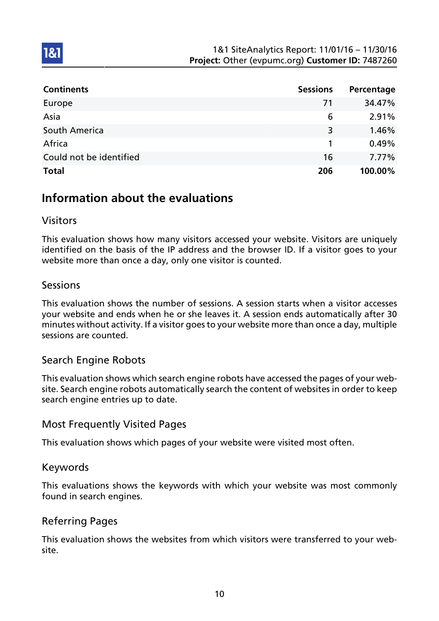| <b>Continents</b>       | <b>Sessions</b> | Percentage |
|-------------------------|-----------------|------------|
| Europe                  | 71              | 34.47%     |
| Asia                    | 6               | 2.91%      |
| South America           | 3               | 1.46%      |
| Africa                  |                 | 0.49%      |
| Could not be identified | 16              | 7.77%      |
| <b>Total</b>            | 206             | 100.00%    |

## Information about the evaluations

## Visitors

1&1

This evaluation shows how many visitors accessed your website. Visitors are uniquely identified on the basis of the IP address and the browser ID. If a visitor goes to your website more than once a day, only one visitor is counted.

## Sessions

This evaluation shows the number of sessions. A session starts when a visitor accesses your website and ends when he or she leaves it. A session ends automatically after 30 minutes without activity. If a visitor goes to your website more than once a day, multiple sessions are counted.

## Search Engine Robots

This evaluation shows which search engine robots have accessed the pages of your website. Search engine robots automatically search the content of websites in order to keep search engine entries up to date.

## Most Frequently Visited Pages

This evaluation shows which pages of your website were visited most often.

## Keywords

This evaluations shows the keywords with which your website was most commonly found in search engines.

## Referring Pages

This evaluation shows the websites from which visitors were transferred to your website.